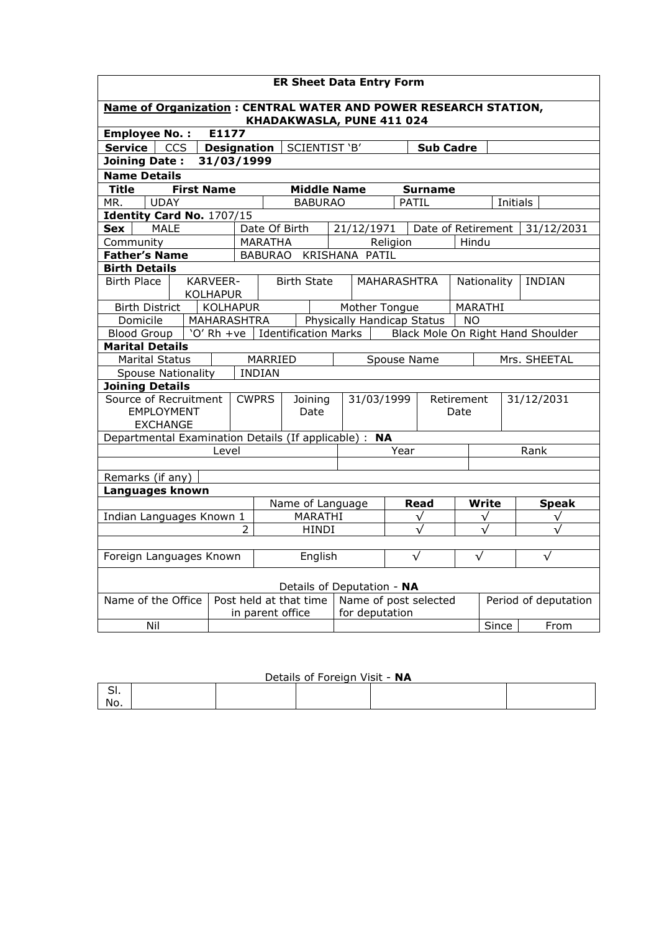| <b>ER Sheet Data Entry Form</b>                                                                     |                                    |                  |                        |                                         |             |                    |              |                      |                                   |
|-----------------------------------------------------------------------------------------------------|------------------------------------|------------------|------------------------|-----------------------------------------|-------------|--------------------|--------------|----------------------|-----------------------------------|
| <b>Name of Organization: CENTRAL WATER AND POWER RESEARCH STATION,</b><br>KHADAKWASLA, PUNE 411 024 |                                    |                  |                        |                                         |             |                    |              |                      |                                   |
| <b>Employee No.:</b>                                                                                | E1177                              |                  |                        |                                         |             |                    |              |                      |                                   |
| SCIENTIST 'B'<br>Service  <br><b>CCS</b><br><b>Designation</b><br><b>Sub Cadre</b>                  |                                    |                  |                        |                                         |             |                    |              |                      |                                   |
| <b>Joining Date:</b><br>31/03/1999                                                                  |                                    |                  |                        |                                         |             |                    |              |                      |                                   |
| <b>Name Details</b>                                                                                 |                                    |                  |                        |                                         |             |                    |              |                      |                                   |
| <b>Title</b><br><b>First Name</b><br><b>Middle Name</b><br><b>Surname</b>                           |                                    |                  |                        |                                         |             |                    |              |                      |                                   |
| <b>UDAY</b><br><b>BABURAO</b><br>MR.<br><b>PATIL</b><br>Initials                                    |                                    |                  |                        |                                         |             |                    |              |                      |                                   |
| Identity Card No. 1707/15                                                                           |                                    |                  |                        |                                         |             |                    |              |                      |                                   |
| <b>MALE</b><br>Sex                                                                                  |                                    | Date Of Birth    |                        | 21/12/1971                              |             | Date of Retirement |              |                      | 31/12/2031                        |
| Community                                                                                           |                                    | <b>MARATHA</b>   |                        |                                         | Religion    |                    | Hindu        |                      |                                   |
| <b>Father's Name</b>                                                                                |                                    |                  |                        | BABURAO KRISHANA PATIL                  |             |                    |              |                      |                                   |
| <b>Birth Details</b>                                                                                |                                    |                  |                        |                                         |             |                    |              |                      |                                   |
| <b>Birth Place</b>                                                                                  | <b>KARVEER-</b><br><b>KOLHAPUR</b> |                  | <b>Birth State</b>     |                                         | MAHARASHTRA |                    | Nationality  |                      | <b>INDIAN</b>                     |
| <b>Birth District</b>                                                                               | KOLHAPUR                           |                  |                        | Mother Tongue                           |             |                    | MARATHI      |                      |                                   |
| Domicile                                                                                            | MAHARASHTRA                        |                  |                        | Physically Handicap Status              |             |                    | <b>NO</b>    |                      |                                   |
| Blood Group                                                                                         | 'O' $Rh + ve$                      |                  |                        | Identification Marks                    |             |                    |              |                      | Black Mole On Right Hand Shoulder |
| <b>Marital Details</b>                                                                              |                                    |                  |                        |                                         |             |                    |              |                      |                                   |
| <b>Marital Status</b><br>MARRIED<br>Spouse Name<br>Mrs. SHEETAL                                     |                                    |                  |                        |                                         |             |                    |              |                      |                                   |
| <b>INDIAN</b><br><b>Spouse Nationality</b>                                                          |                                    |                  |                        |                                         |             |                    |              |                      |                                   |
| <b>Joining Details</b>                                                                              |                                    |                  |                        |                                         |             |                    |              |                      |                                   |
| Source of Recruitment                                                                               |                                    | <b>CWPRS</b>     | Joining                | 31/03/1999                              |             |                    | Retirement   |                      | 31/12/2031                        |
| <b>EMPLOYMENT</b>                                                                                   |                                    |                  | Date                   |                                         |             |                    | Date         |                      |                                   |
| <b>EXCHANGE</b>                                                                                     |                                    |                  |                        |                                         |             |                    |              |                      |                                   |
| Departmental Examination Details (If applicable) : NA                                               | Level                              |                  |                        |                                         | Year        |                    |              |                      | Rank                              |
|                                                                                                     |                                    |                  |                        |                                         |             |                    |              |                      |                                   |
| Remarks (if any)                                                                                    |                                    |                  |                        |                                         |             |                    |              |                      |                                   |
| Languages known                                                                                     |                                    |                  |                        |                                         |             |                    |              |                      |                                   |
|                                                                                                     | Name of Language<br>Write<br>Read  |                  |                        |                                         |             |                    | <b>Speak</b> |                      |                                   |
| Indian Languages Known 1                                                                            |                                    |                  | MARATHI                | √                                       |             | √                  |              | √                    |                                   |
|                                                                                                     | 2                                  |                  | <b>HINDI</b>           |                                         |             | √                  | $\sqrt{}$    |                      |                                   |
|                                                                                                     |                                    |                  |                        |                                         |             |                    |              |                      |                                   |
| $\sqrt{}$<br>$\sqrt{}$<br>Foreign Languages Known<br>English                                        |                                    |                  |                        | $\sqrt{}$                               |             |                    |              |                      |                                   |
| Details of Deputation - NA                                                                          |                                    |                  |                        |                                         |             |                    |              |                      |                                   |
| Name of the Office                                                                                  |                                    | in parent office | Post held at that time | Name of post selected<br>for deputation |             |                    |              | Period of deputation |                                   |
| Nil                                                                                                 |                                    |                  |                        |                                         |             |                    |              | Since                | From                              |
|                                                                                                     |                                    |                  |                        |                                         |             |                    |              |                      |                                   |

|     | Details of Foreign Visit - NA |  |  |  |  |  |  |  |
|-----|-------------------------------|--|--|--|--|--|--|--|
|     |                               |  |  |  |  |  |  |  |
| No. |                               |  |  |  |  |  |  |  |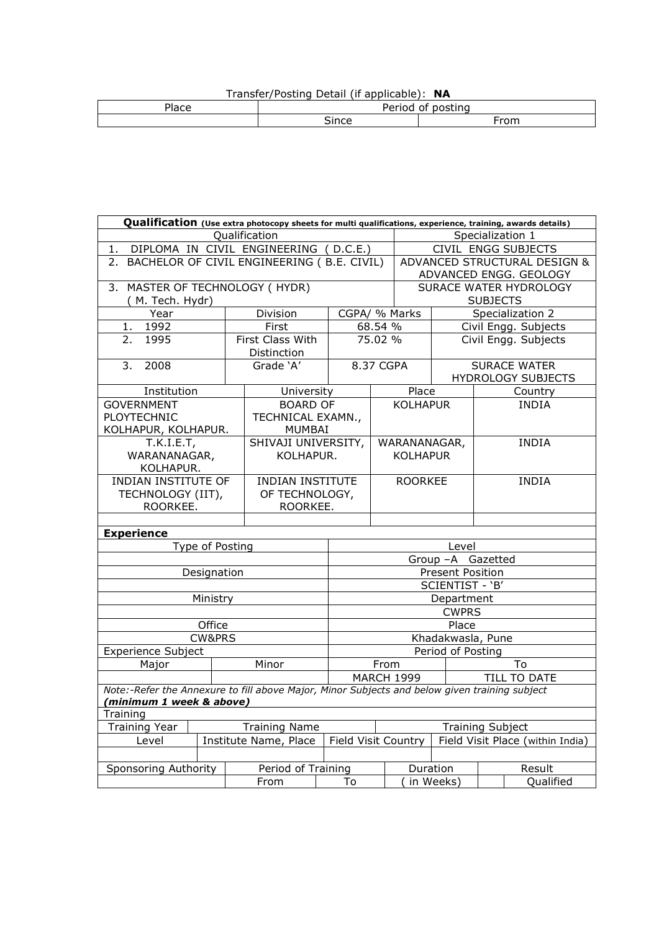|  | Transfer/Posting Detail (if applicable): NA |  |
|--|---------------------------------------------|--|
|  |                                             |  |

| . .<br>. | .<br>$ -$<br>''<br>. . |                      |  |  |  |
|----------|------------------------|----------------------|--|--|--|
|          | ∼                      | $\sim$ $\sim$ $\sim$ |  |  |  |
|          |                        |                      |  |  |  |

| Qualification (Use extra photocopy sheets for multi qualifications, experience, training, awards details) |                                                                                                                                           |                                 |                    |                                           |                     |                         |                                                  |
|-----------------------------------------------------------------------------------------------------------|-------------------------------------------------------------------------------------------------------------------------------------------|---------------------------------|--------------------|-------------------------------------------|---------------------|-------------------------|--------------------------------------------------|
| Qualification<br>Specialization 1                                                                         |                                                                                                                                           |                                 |                    |                                           |                     |                         |                                                  |
| 1.                                                                                                        | DIPLOMA IN CIVIL ENGINEERING (D.C.E.)                                                                                                     |                                 |                    |                                           |                     | CIVIL ENGG SUBJECTS     |                                                  |
| 2. BACHELOR OF CIVIL ENGINEERING (B.E. CIVIL)                                                             |                                                                                                                                           | ADVANCED STRUCTURAL DESIGN &    |                    |                                           |                     |                         |                                                  |
|                                                                                                           |                                                                                                                                           |                                 |                    |                                           |                     |                         | ADVANCED ENGG. GEOLOGY                           |
| 3. MASTER OF TECHNOLOGY ( HYDR)                                                                           |                                                                                                                                           |                                 |                    | SURACE WATER HYDROLOGY<br><b>SUBJECTS</b> |                     |                         |                                                  |
| (M. Tech. Hydr)                                                                                           |                                                                                                                                           |                                 |                    |                                           |                     |                         |                                                  |
| Year                                                                                                      |                                                                                                                                           | Division                        |                    | CGPA/ % Marks                             |                     | Specialization 2        |                                                  |
| 1992<br>1.<br>1995                                                                                        |                                                                                                                                           | First                           |                    | 68.54 %<br>75.02 %                        |                     | Civil Engg. Subjects    |                                                  |
| 2.                                                                                                        |                                                                                                                                           | First Class With<br>Distinction |                    |                                           |                     |                         | Civil Engg. Subjects                             |
| 2008<br>3.                                                                                                |                                                                                                                                           | Grade 'A'                       |                    | 8.37 CGPA                                 |                     |                         | <b>SURACE WATER</b><br><b>HYDROLOGY SUBJECTS</b> |
| Institution                                                                                               |                                                                                                                                           | University                      |                    |                                           | Place               |                         | Country                                          |
| <b>GOVERNMENT</b>                                                                                         |                                                                                                                                           | <b>BOARD OF</b>                 |                    |                                           | <b>KOLHAPUR</b>     |                         | <b>INDIA</b>                                     |
| PLOYTECHNIC                                                                                               |                                                                                                                                           | TECHNICAL EXAMN.,               |                    |                                           |                     |                         |                                                  |
| KOLHAPUR, KOLHAPUR.                                                                                       |                                                                                                                                           | MUMBAI                          |                    |                                           |                     |                         |                                                  |
| T.K.I.E.T,                                                                                                |                                                                                                                                           | SHIVAJI UNIVERSITY,             |                    |                                           | WARANANAGAR,        |                         | INDIA                                            |
| WARANANAGAR,                                                                                              |                                                                                                                                           | KOLHAPUR.                       |                    |                                           | <b>KOLHAPUR</b>     |                         |                                                  |
| KOLHAPUR.                                                                                                 |                                                                                                                                           |                                 |                    |                                           |                     |                         |                                                  |
| INDIAN INSTITUTE OF                                                                                       |                                                                                                                                           | <b>INDIAN INSTITUTE</b>         |                    | <b>ROORKEE</b>                            |                     | <b>INDIA</b>            |                                                  |
| TECHNOLOGY (IIT),                                                                                         |                                                                                                                                           | OF TECHNOLOGY,                  |                    |                                           |                     |                         |                                                  |
| ROORKEE.<br>ROORKEE.                                                                                      |                                                                                                                                           |                                 |                    |                                           |                     |                         |                                                  |
|                                                                                                           |                                                                                                                                           |                                 |                    |                                           |                     |                         |                                                  |
| <b>Experience</b>                                                                                         |                                                                                                                                           |                                 |                    |                                           |                     |                         |                                                  |
|                                                                                                           | Type of Posting                                                                                                                           |                                 |                    |                                           |                     | Level                   |                                                  |
|                                                                                                           |                                                                                                                                           |                                 |                    |                                           |                     | Group -A Gazetted       |                                                  |
|                                                                                                           | Designation                                                                                                                               |                                 |                    |                                           |                     | <b>Present Position</b> |                                                  |
|                                                                                                           |                                                                                                                                           |                                 |                    | SCIENTIST - 'B'                           |                     |                         |                                                  |
|                                                                                                           | Ministry                                                                                                                                  |                                 | Department         |                                           |                     |                         |                                                  |
|                                                                                                           |                                                                                                                                           |                                 | <b>CWPRS</b>       |                                           |                     |                         |                                                  |
|                                                                                                           | Office                                                                                                                                    |                                 |                    | Place                                     |                     |                         |                                                  |
|                                                                                                           | <b>CW&amp;PRS</b>                                                                                                                         |                                 |                    | Khadakwasla, Pune                         |                     |                         |                                                  |
| <b>Experience Subject</b>                                                                                 |                                                                                                                                           |                                 |                    | Period of Posting                         |                     |                         |                                                  |
| Minor<br>Major                                                                                            |                                                                                                                                           |                                 | From<br>To         |                                           |                     |                         |                                                  |
|                                                                                                           | <b>MARCH 1999</b><br><b>TILL TO DATE</b><br>Note:-Refer the Annexure to fill above Major, Minor Subjects and below given training subject |                                 |                    |                                           |                     |                         |                                                  |
| (minimum 1 week & above)                                                                                  |                                                                                                                                           |                                 |                    |                                           |                     |                         |                                                  |
| Training                                                                                                  |                                                                                                                                           |                                 |                    |                                           |                     |                         |                                                  |
| <b>Training Year</b><br><b>Training Name</b>                                                              |                                                                                                                                           |                                 |                    |                                           |                     |                         | <b>Training Subject</b>                          |
| Level                                                                                                     | Institute Name, Place                                                                                                                     |                                 |                    |                                           | Field Visit Country |                         | Field Visit Place (within India)                 |
|                                                                                                           |                                                                                                                                           |                                 |                    |                                           |                     |                         |                                                  |
| Sponsoring Authority<br>Period of Training                                                                |                                                                                                                                           |                                 | Duration<br>Result |                                           |                     |                         |                                                  |
|                                                                                                           |                                                                                                                                           | From                            | To                 |                                           | in Weeks)           |                         | Qualified                                        |